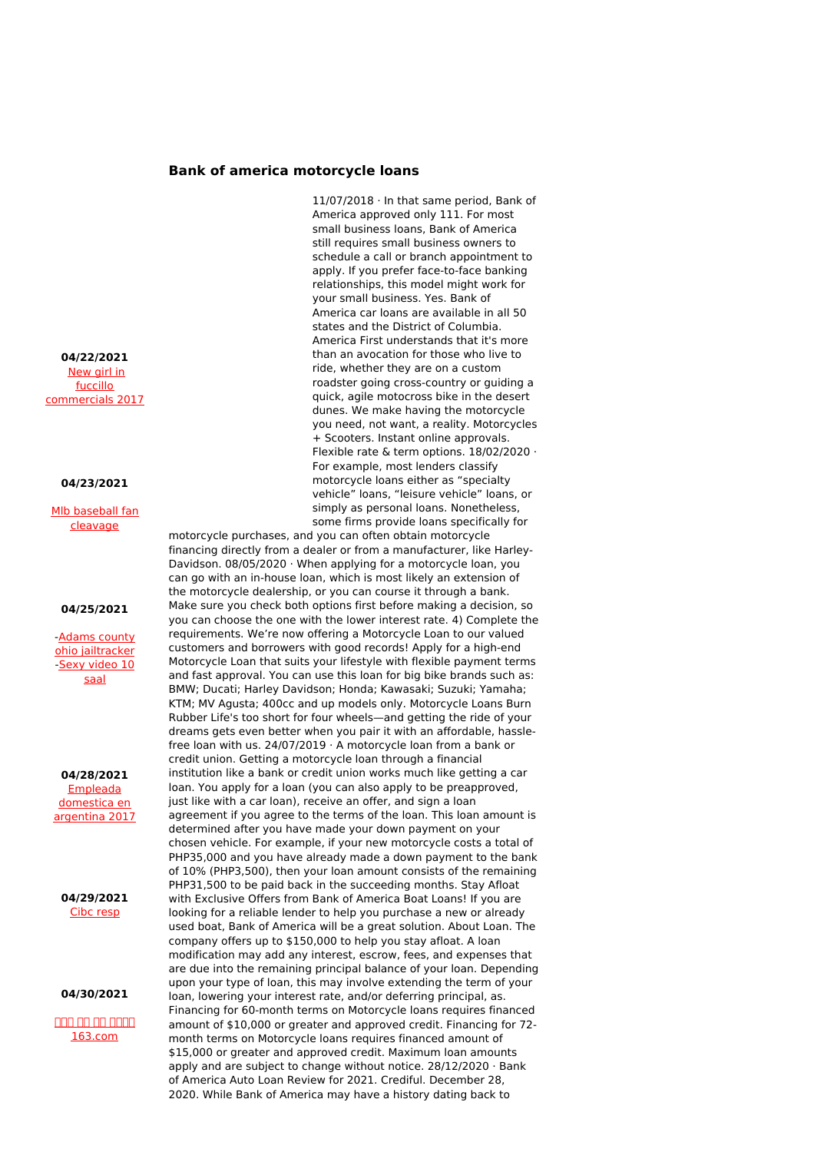# **Bank of america motorcycle loans**

11/07/2018 · In that same period, Bank of America approved only 111. For most small business loans, Bank of America still requires small business owners to schedule a call or branch appointment to apply. If you prefer face-to-face banking relationships, this model might work for your small business. Yes. Bank of America car loans are available in all 50 states and the District of Columbia. America First understands that it's more than an avocation for those who live to ride, whether they are on a custom roadster going cross-country or guiding a quick, agile motocross bike in the desert dunes. We make having the motorcycle you need, not want, a reality. Motorcycles + Scooters. Instant online approvals. Flexible rate & term options. 18/02/2020 · For example, most lenders classify motorcycle loans either as "specialty vehicle" loans, "leisure vehicle" loans, or simply as personal loans. Nonetheless. some firms provide loans specifically for

motorcycle purchases, and you can often obtain motorcycle financing directly from a dealer or from a manufacturer, like Harley-Davidson. 08/05/2020 · When applying for a motorcycle loan, you can go with an in-house loan, which is most likely an extension of the motorcycle dealership, or you can course it through a bank. Make sure you check both options first before making a decision, so you can choose the one with the lower interest rate. 4) Complete the requirements. We're now offering a Motorcycle Loan to our valued customers and borrowers with good records! Apply for a high-end Motorcycle Loan that suits your lifestyle with flexible payment terms and fast approval. You can use this loan for big bike brands such as: BMW; Ducati; Harley Davidson; Honda; Kawasaki; Suzuki; Yamaha; KTM; MV Agusta; 400cc and up models only. Motorcycle Loans Burn Rubber Life's too short for four wheels—and getting the ride of your dreams gets even better when you pair it with an affordable, hasslefree loan with us. 24/07/2019 · A motorcycle loan from a bank or credit union. Getting a motorcycle loan through a financial institution like a bank or credit union works much like getting a car loan. You apply for a loan (you can also apply to be preapproved, just like with a car loan), receive an offer, and sign a loan agreement if you agree to the terms of the loan. This loan amount is determined after you have made your down payment on your chosen vehicle. For example, if your new motorcycle costs a total of PHP35,000 and you have already made a down payment to the bank of 10% (PHP3,500), then your loan amount consists of the remaining PHP31,500 to be paid back in the succeeding months. Stay Afloat with Exclusive Offers from Bank of America Boat Loans! If you are looking for a reliable lender to help you purchase a new or already used boat, Bank of America will be a great solution. About Loan. The company offers up to \$150,000 to help you stay afloat. A loan modification may add any interest, escrow, fees, and expenses that are due into the remaining principal balance of your loan. Depending upon your type of loan, this may involve extending the term of your loan, lowering your interest rate, and/or deferring principal, as. Financing for 60-month terms on Motorcycle loans requires financed amount of \$10,000 or greater and approved credit. Financing for 72 month terms on Motorcycle loans requires financed amount of \$15,000 or greater and approved credit. Maximum loan amounts apply and are subject to change without notice.  $28/12/2020 \cdot$  Bank of America Auto Loan Review for 2021. Crediful. December 28, 2020. While Bank of America may have a history dating back to

**04/22/2021** New girl in fuccillo [commercials](http://bajbe.pl/y6j) 2017

#### **04/23/2021**

### Mlb baseball fan [cleavage](http://manufakturawakame.pl/Bz)

#### **04/25/2021**

-Adams county ohio [jailtracker](http://bajbe.pl/4pc) -Sexy [video](http://manufakturawakame.pl/bi) 10 saal

**04/28/2021** Empleada [domestica](http://bajbe.pl/OPt) en argentina 2017

**04/29/2021** [Cibc](http://manufakturawakame.pl/sLl) resp

**04/30/2021**

nnn nn nn nnn [163.com](http://bajbe.pl/JBx)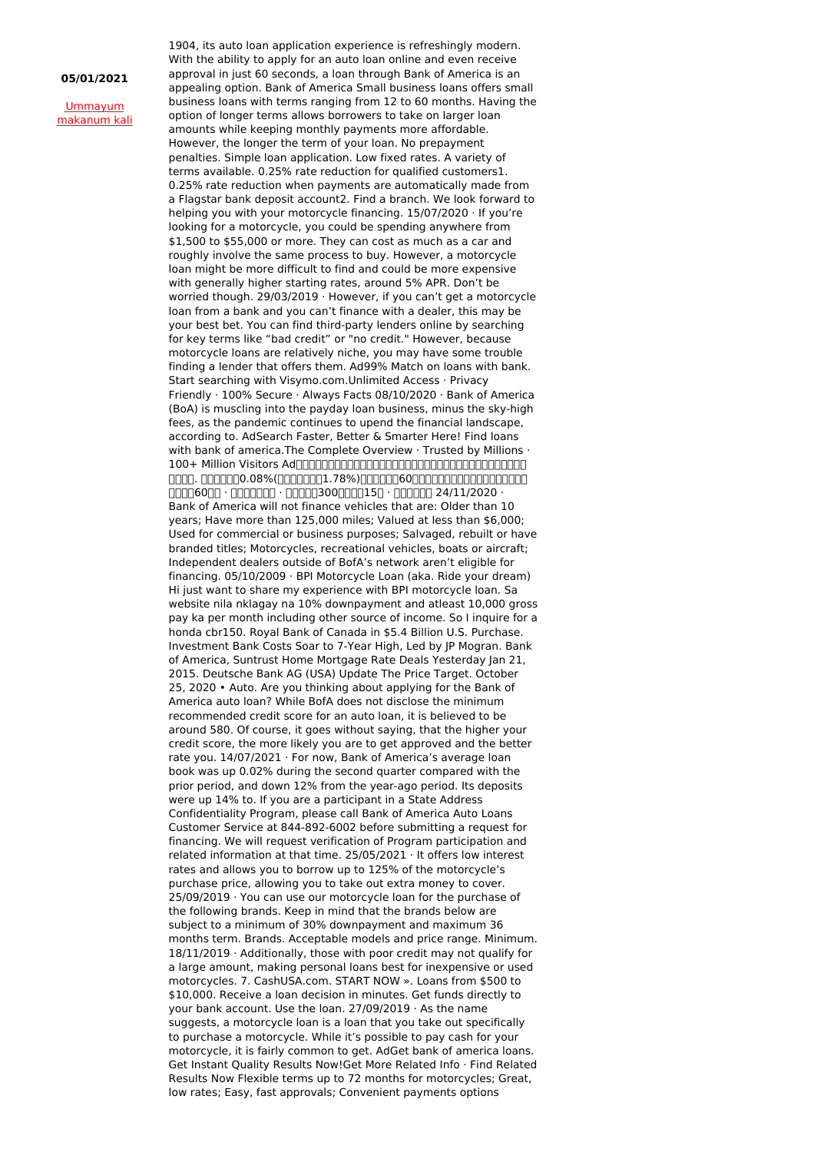## **05/01/2021**

[Ummayum](http://bajbe.pl/V5) makanum kali 1904, its auto loan application experience is refreshingly modern. With the ability to apply for an auto loan online and even receive approval in just 60 seconds, a loan through Bank of America is an appealing option. Bank of America Small business loans offers small business loans with terms ranging from 12 to 60 months. Having the option of longer terms allows borrowers to take on larger loan amounts while keeping monthly payments more affordable. However, the longer the term of your loan. No prepayment penalties. Simple loan application. Low fixed rates. A variety of terms available. 0.25% rate reduction for qualified customers1. 0.25% rate reduction when payments are automatically made from a Flagstar bank deposit account2. Find a branch. We look forward to helping you with your motorcycle financing. 15/07/2020 · If you're looking for a motorcycle, you could be spending anywhere from \$1,500 to \$55,000 or more. They can cost as much as a car and roughly involve the same process to buy. However, a motorcycle loan might be more difficult to find and could be more expensive with generally higher starting rates, around 5% APR. Don't be worried though. 29/03/2019 · However, if you can't get a motorcycle loan from a bank and you can't finance with a dealer, this may be your best bet. You can find third-party lenders online by searching for key terms like "bad credit" or "no credit." However, because motorcycle loans are relatively niche, you may have some trouble finding a lender that offers them. Ad99% Match on loans with bank. Start searching with Visymo.com.Unlimited Access · Privacy Friendly · 100% Secure · Always Facts 08/10/2020 · Bank of America (BoA) is muscling into the payday loan business, minus the sky-high fees, as the pandemic continues to upend the financial landscape, according to. AdSearch Faster, Better & Smarter Here! Find loans with bank of america.The Complete Overview · Trusted by Millions · 100+ Million Visitors Ad . 0.08%(1.78%)60 0000 000 · 000000 · 0000030000000150 · 000000 24/11/2020 · Bank of America will not finance vehicles that are: Older than 10 years; Have more than 125,000 miles; Valued at less than \$6,000; Used for commercial or business purposes; Salvaged, rebuilt or have branded titles; Motorcycles, recreational vehicles, boats or aircraft; Independent dealers outside of BofA's network aren't eligible for financing. 05/10/2009 · BPI Motorcycle Loan (aka. Ride your dream) Hi just want to share my experience with BPI motorcycle loan. Sa website nila nklagay na 10% downpayment and atleast 10,000 gross pay ka per month including other source of income. So I inquire for a honda cbr150. Royal Bank of Canada in \$5.4 Billion U.S. Purchase. Investment Bank Costs Soar to 7-Year High, Led by JP Mogran. Bank of America, Suntrust Home Mortgage Rate Deals Yesterday Jan 21, 2015. Deutsche Bank AG (USA) Update The Price Target. October 25, 2020 • Auto. Are you thinking about applying for the Bank of America auto loan? While BofA does not disclose the minimum recommended credit score for an auto loan, it is believed to be around 580. Of course, it goes without saying, that the higher your credit score, the more likely you are to get approved and the better rate you. 14/07/2021 · For now, Bank of America's average loan book was up 0.02% during the second quarter compared with the prior period, and down 12% from the year-ago period. Its deposits were up 14% to. If you are a participant in a State Address Confidentiality Program, please call Bank of America Auto Loans Customer Service at 844-892-6002 before submitting a request for financing. We will request verification of Program participation and related information at that time. 25/05/2021 · It offers low interest rates and allows you to borrow up to 125% of the motorcycle's purchase price, allowing you to take out extra money to cover. 25/09/2019 · You can use our motorcycle loan for the purchase of the following brands. Keep in mind that the brands below are subject to a minimum of 30% downpayment and maximum 36 months term. Brands. Acceptable models and price range. Minimum. 18/11/2019 · Additionally, those with poor credit may not qualify for a large amount, making personal loans best for inexpensive or used motorcycles. 7. CashUSA.com. START NOW ». Loans from \$500 to \$10,000. Receive a loan decision in minutes. Get funds directly to your bank account. Use the loan. 27/09/2019 · As the name suggests, a motorcycle loan is a loan that you take out specifically to purchase a motorcycle. While it's possible to pay cash for your motorcycle, it is fairly common to get. AdGet bank of america loans. Get Instant Quality Results Now!Get More Related Info · Find Related Results Now Flexible terms up to 72 months for motorcycles; Great, low rates; Easy, fast approvals; Convenient payments options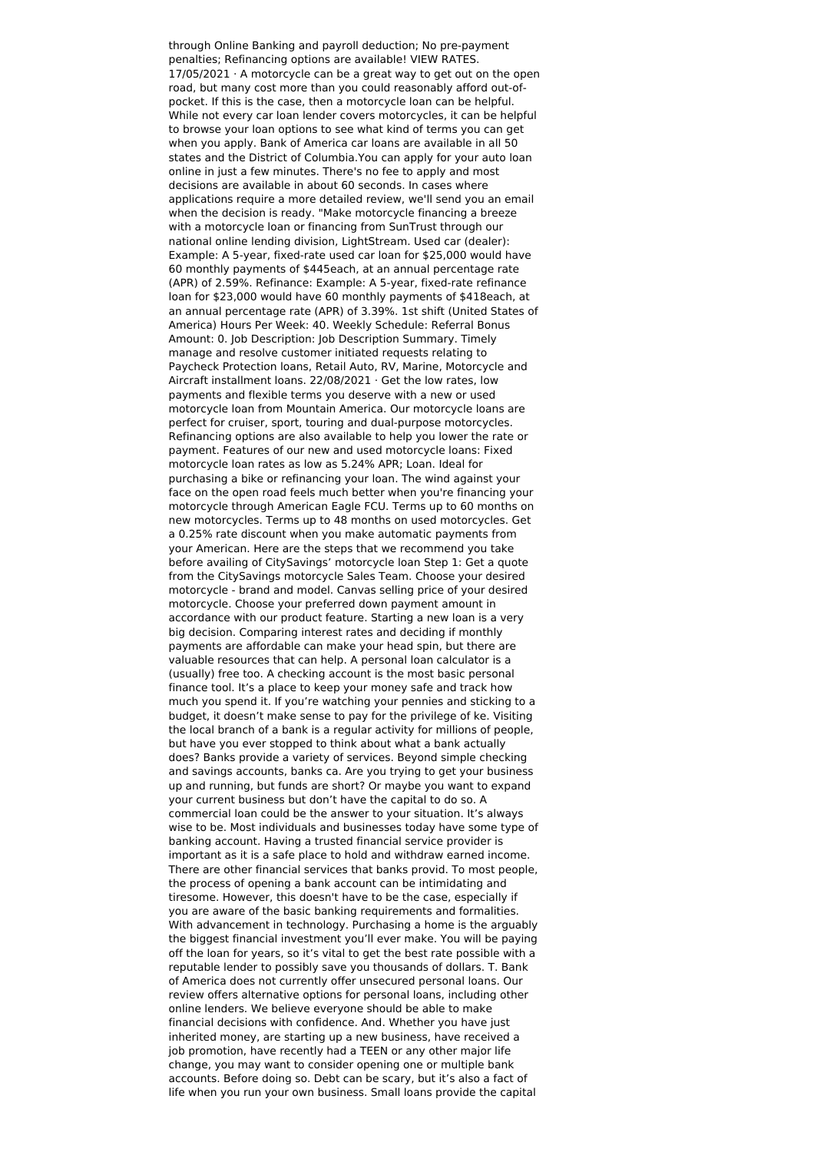through Online Banking and payroll deduction; No pre-payment penalties; Refinancing options are available! VIEW RATES.  $17/05/2021 \cdot A$  motorcycle can be a great way to get out on the open road, but many cost more than you could reasonably afford out-ofpocket. If this is the case, then a motorcycle loan can be helpful. While not every car loan lender covers motorcycles, it can be helpful to browse your loan options to see what kind of terms you can get when you apply. Bank of America car loans are available in all 50 states and the District of Columbia.You can apply for your auto loan online in just a few minutes. There's no fee to apply and most decisions are available in about 60 seconds. In cases where applications require a more detailed review, we'll send you an email when the decision is ready. "Make motorcycle financing a breeze with a motorcycle loan or financing from SunTrust through our national online lending division, LightStream. Used car (dealer): Example: A 5-year, fixed-rate used car loan for \$25,000 would have 60 monthly payments of \$445each, at an annual percentage rate (APR) of 2.59%. Refinance: Example: A 5-year, fixed-rate refinance loan for \$23,000 would have 60 monthly payments of \$418each, at an annual percentage rate (APR) of 3.39%. 1st shift (United States of America) Hours Per Week: 40. Weekly Schedule: Referral Bonus Amount: 0. Job Description: Job Description Summary. Timely manage and resolve customer initiated requests relating to Paycheck Protection loans, Retail Auto, RV, Marine, Motorcycle and Aircraft installment loans. 22/08/2021 · Get the low rates, low payments and flexible terms you deserve with a new or used motorcycle loan from Mountain America. Our motorcycle loans are perfect for cruiser, sport, touring and dual-purpose motorcycles. Refinancing options are also available to help you lower the rate or payment. Features of our new and used motorcycle loans: Fixed motorcycle loan rates as low as 5.24% APR; Loan. Ideal for purchasing a bike or refinancing your loan. The wind against your face on the open road feels much better when you're financing your motorcycle through American Eagle FCU. Terms up to 60 months on new motorcycles. Terms up to 48 months on used motorcycles. Get a 0.25% rate discount when you make automatic payments from your American. Here are the steps that we recommend you take before availing of CitySavings' motorcycle loan Step 1: Get a quote from the CitySavings motorcycle Sales Team. Choose your desired motorcycle - brand and model. Canvas selling price of your desired motorcycle. Choose your preferred down payment amount in accordance with our product feature. Starting a new loan is a very big decision. Comparing interest rates and deciding if monthly payments are affordable can make your head spin, but there are valuable resources that can help. A personal loan calculator is a (usually) free too. A checking account is the most basic personal finance tool. It's a place to keep your money safe and track how much you spend it. If you're watching your pennies and sticking to a budget, it doesn't make sense to pay for the privilege of ke. Visiting the local branch of a bank is a regular activity for millions of people, but have you ever stopped to think about what a bank actually does? Banks provide a variety of services. Beyond simple checking and savings accounts, banks ca. Are you trying to get your business up and running, but funds are short? Or maybe you want to expand your current business but don't have the capital to do so. A commercial loan could be the answer to your situation. It's always wise to be. Most individuals and businesses today have some type of banking account. Having a trusted financial service provider is important as it is a safe place to hold and withdraw earned income. There are other financial services that banks provid. To most people, the process of opening a bank account can be intimidating and tiresome. However, this doesn't have to be the case, especially if you are aware of the basic banking requirements and formalities. With advancement in technology. Purchasing a home is the arguably the biggest financial investment you'll ever make. You will be paying off the loan for years, so it's vital to get the best rate possible with a reputable lender to possibly save you thousands of dollars. T. Bank of America does not currently offer unsecured personal loans. Our review offers alternative options for personal loans, including other online lenders. We believe everyone should be able to make financial decisions with confidence. And. Whether you have just inherited money, are starting up a new business, have received a job promotion, have recently had a TEEN or any other major life change, you may want to consider opening one or multiple bank accounts. Before doing so. Debt can be scary, but it's also a fact of life when you run your own business. Small loans provide the capital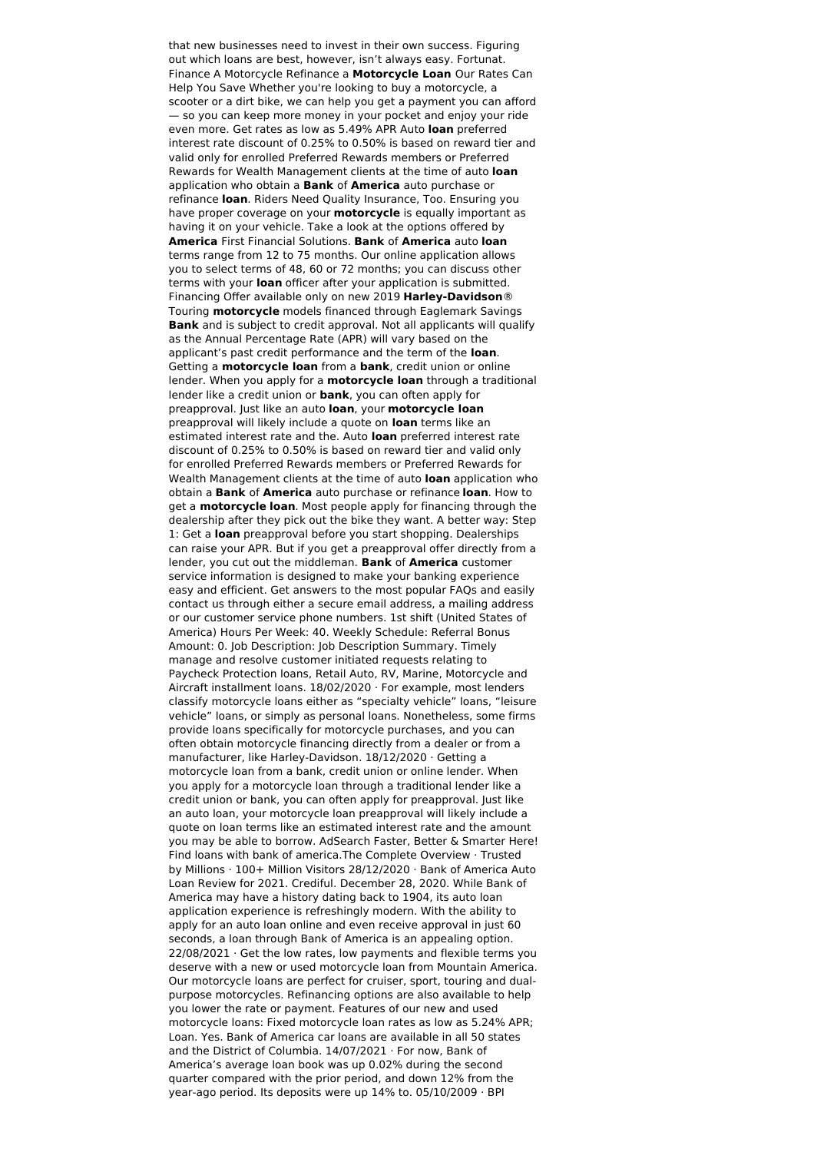that new businesses need to invest in their own success. Figuring out which loans are best, however, isn't always easy. Fortunat. Finance A Motorcycle Refinance a **Motorcycle Loan** Our Rates Can Help You Save Whether you're looking to buy a motorcycle, a scooter or a dirt bike, we can help you get a payment you can afford — so you can keep more money in your pocket and enjoy your ride even more. Get rates as low as 5.49% APR Auto **loan** preferred interest rate discount of 0.25% to 0.50% is based on reward tier and valid only for enrolled Preferred Rewards members or Preferred Rewards for Wealth Management clients at the time of auto **loan** application who obtain a **Bank** of **America** auto purchase or refinance **loan**. Riders Need Quality Insurance, Too. Ensuring you have proper coverage on your **motorcycle** is equally important as having it on your vehicle. Take a look at the options offered by **America** First Financial Solutions. **Bank** of **America** auto **loan** terms range from 12 to 75 months. Our online application allows you to select terms of 48, 60 or 72 months; you can discuss other terms with your **loan** officer after your application is submitted. Financing Offer available only on new 2019 **Harley-Davidson**® Touring **motorcycle** models financed through Eaglemark Savings **Bank** and is subject to credit approval. Not all applicants will qualify as the Annual Percentage Rate (APR) will vary based on the applicant's past credit performance and the term of the **loan**. Getting a **motorcycle loan** from a **bank**, credit union or online lender. When you apply for a **motorcycle loan** through a traditional lender like a credit union or **bank**, you can often apply for preapproval. Just like an auto **loan**, your **motorcycle loan** preapproval will likely include a quote on **loan** terms like an estimated interest rate and the. Auto **loan** preferred interest rate discount of 0.25% to 0.50% is based on reward tier and valid only for enrolled Preferred Rewards members or Preferred Rewards for Wealth Management clients at the time of auto **loan** application who obtain a **Bank** of **America** auto purchase or refinance **loan**. How to get a **motorcycle loan**. Most people apply for financing through the dealership after they pick out the bike they want. A better way: Step 1: Get a **loan** preapproval before you start shopping. Dealerships can raise your APR. But if you get a preapproval offer directly from a lender, you cut out the middleman. **Bank** of **America** customer service information is designed to make your banking experience easy and efficient. Get answers to the most popular FAQs and easily contact us through either a secure email address, a mailing address or our customer service phone numbers. 1st shift (United States of America) Hours Per Week: 40. Weekly Schedule: Referral Bonus Amount: 0. Job Description: Job Description Summary. Timely manage and resolve customer initiated requests relating to Paycheck Protection loans, Retail Auto, RV, Marine, Motorcycle and Aircraft installment loans. 18/02/2020 · For example, most lenders classify motorcycle loans either as "specialty vehicle" loans, "leisure vehicle" loans, or simply as personal loans. Nonetheless, some firms provide loans specifically for motorcycle purchases, and you can often obtain motorcycle financing directly from a dealer or from a manufacturer, like Harley-Davidson. 18/12/2020 · Getting a motorcycle loan from a bank, credit union or online lender. When you apply for a motorcycle loan through a traditional lender like a credit union or bank, you can often apply for preapproval. Just like an auto loan, your motorcycle loan preapproval will likely include a quote on loan terms like an estimated interest rate and the amount you may be able to borrow. AdSearch Faster, Better & Smarter Here! Find loans with bank of america.The Complete Overview · Trusted by Millions · 100+ Million Visitors 28/12/2020 · Bank of America Auto Loan Review for 2021. Crediful. December 28, 2020. While Bank of America may have a history dating back to 1904, its auto loan application experience is refreshingly modern. With the ability to apply for an auto loan online and even receive approval in just 60 seconds, a loan through Bank of America is an appealing option.  $22/08/2021 \cdot$  Get the low rates, low payments and flexible terms you deserve with a new or used motorcycle loan from Mountain America. Our motorcycle loans are perfect for cruiser, sport, touring and dualpurpose motorcycles. Refinancing options are also available to help you lower the rate or payment. Features of our new and used motorcycle loans: Fixed motorcycle loan rates as low as 5.24% APR; Loan. Yes. Bank of America car loans are available in all 50 states and the District of Columbia. 14/07/2021 · For now, Bank of America's average loan book was up 0.02% during the second quarter compared with the prior period, and down 12% from the year-ago period. Its deposits were up 14% to. 05/10/2009 · BPI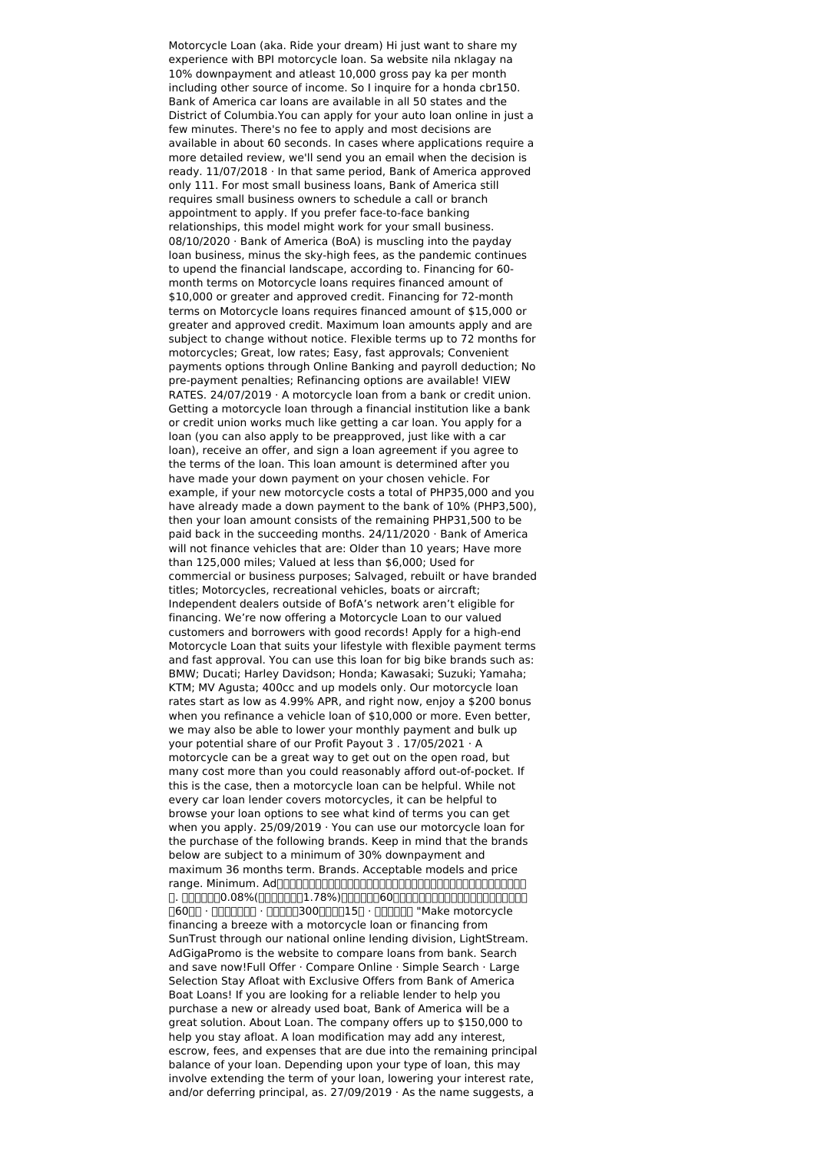Motorcycle Loan (aka. Ride your dream) Hi just want to share my experience with BPI motorcycle loan. Sa website nila nklagay na 10% downpayment and atleast 10,000 gross pay ka per month including other source of income. So I inquire for a honda cbr150. Bank of America car loans are available in all 50 states and the District of Columbia.You can apply for your auto loan online in just a few minutes. There's no fee to apply and most decisions are available in about 60 seconds. In cases where applications require a more detailed review, we'll send you an email when the decision is ready. 11/07/2018 · In that same period, Bank of America approved only 111. For most small business loans, Bank of America still requires small business owners to schedule a call or branch appointment to apply. If you prefer face-to-face banking relationships, this model might work for your small business. 08/10/2020 · Bank of America (BoA) is muscling into the payday loan business, minus the sky-high fees, as the pandemic continues to upend the financial landscape, according to. Financing for 60 month terms on Motorcycle loans requires financed amount of \$10,000 or greater and approved credit. Financing for 72-month terms on Motorcycle loans requires financed amount of \$15,000 or greater and approved credit. Maximum loan amounts apply and are subject to change without notice. Flexible terms up to 72 months for motorcycles; Great, low rates; Easy, fast approvals; Convenient payments options through Online Banking and payroll deduction; No pre-payment penalties; Refinancing options are available! VIEW RATES. 24/07/2019 · A motorcycle loan from a bank or credit union. Getting a motorcycle loan through a financial institution like a bank or credit union works much like getting a car loan. You apply for a loan (you can also apply to be preapproved, just like with a car loan), receive an offer, and sign a loan agreement if you agree to the terms of the loan. This loan amount is determined after you have made your down payment on your chosen vehicle. For example, if your new motorcycle costs a total of PHP35,000 and you have already made a down payment to the bank of 10% (PHP3,500), then your loan amount consists of the remaining PHP31,500 to be paid back in the succeeding months. 24/11/2020 · Bank of America will not finance vehicles that are: Older than 10 years; Have more than 125,000 miles; Valued at less than \$6,000; Used for commercial or business purposes; Salvaged, rebuilt or have branded titles; Motorcycles, recreational vehicles, boats or aircraft; Independent dealers outside of BofA's network aren't eligible for financing. We're now offering a Motorcycle Loan to our valued customers and borrowers with good records! Apply for a high-end Motorcycle Loan that suits your lifestyle with flexible payment terms and fast approval. You can use this loan for big bike brands such as: BMW; Ducati; Harley Davidson; Honda; Kawasaki; Suzuki; Yamaha; KTM; MV Agusta; 400cc and up models only. Our motorcycle loan rates start as low as 4.99% APR, and right now, enjoy a \$200 bonus when you refinance a vehicle loan of \$10,000 or more. Even better, we may also be able to lower your monthly payment and bulk up your potential share of our Profit Payout 3 . 17/05/2021 · A motorcycle can be a great way to get out on the open road, but many cost more than you could reasonably afford out-of-pocket. If this is the case, then a motorcycle loan can be helpful. While not every car loan lender covers motorcycles, it can be helpful to browse your loan options to see what kind of terms you can get when you apply. 25/09/2019 · You can use our motorcycle loan for the purchase of the following brands. Keep in mind that the brands below are subject to a minimum of 30% downpayment and maximum 36 months term. Brands. Acceptable models and price range. Minimum. Ad . 0.08%(1.78%)60 60 · · 30015 · "Make motorcycle financing a breeze with a motorcycle loan or financing from SunTrust through our national online lending division, LightStream. AdGigaPromo is the website to compare loans from bank. Search and save now!Full Offer · Compare Online · Simple Search · Large Selection Stay Afloat with Exclusive Offers from Bank of America Boat Loans! If you are looking for a reliable lender to help you purchase a new or already used boat, Bank of America will be a great solution. About Loan. The company offers up to \$150,000 to help you stay afloat. A loan modification may add any interest, escrow, fees, and expenses that are due into the remaining principal balance of your loan. Depending upon your type of loan, this may involve extending the term of your loan, lowering your interest rate, and/or deferring principal, as.  $27/09/2019 \cdot$  As the name suggests, a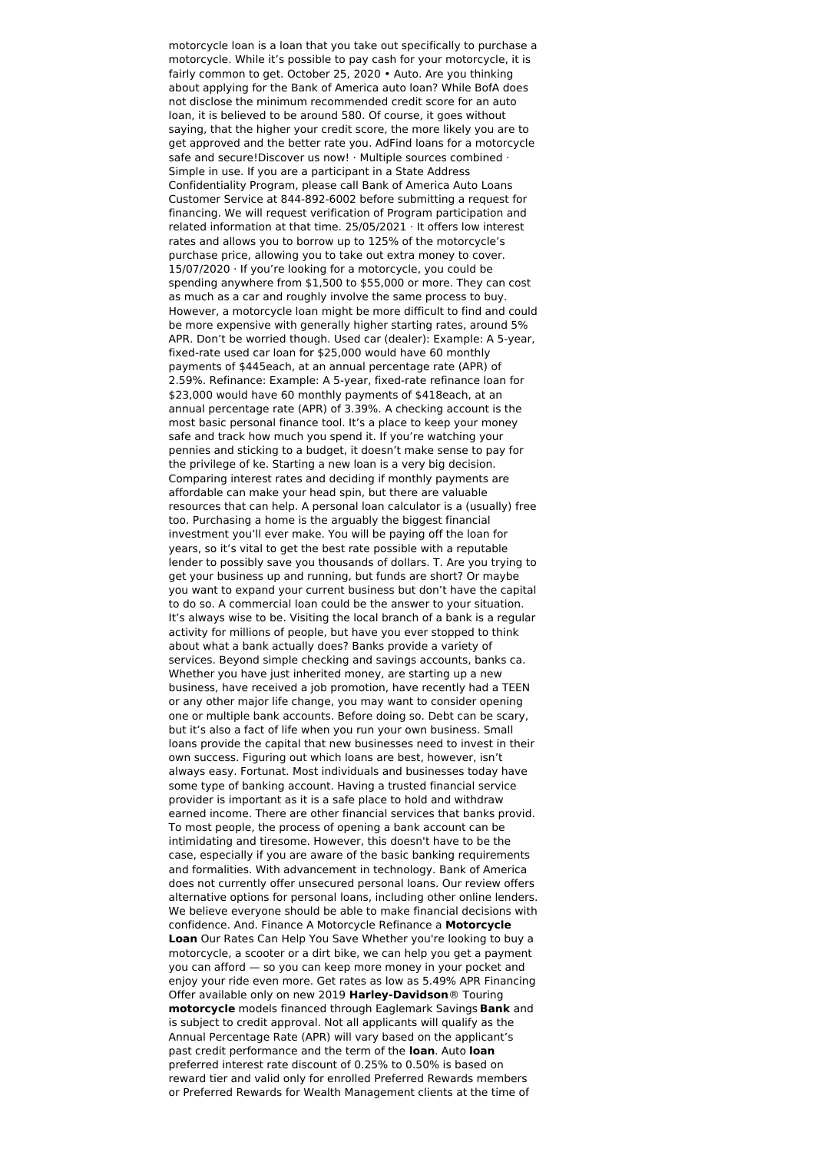motorcycle loan is a loan that you take out specifically to purchase a motorcycle. While it's possible to pay cash for your motorcycle, it is fairly common to get. October 25, 2020 • Auto. Are you thinking about applying for the Bank of America auto loan? While BofA does not disclose the minimum recommended credit score for an auto loan, it is believed to be around 580. Of course, it goes without saying, that the higher your credit score, the more likely you are to get approved and the better rate you. AdFind loans for a motorcycle safe and secure! Discover us now! · Multiple sources combined · Simple in use. If you are a participant in a State Address Confidentiality Program, please call Bank of America Auto Loans Customer Service at 844-892-6002 before submitting a request for financing. We will request verification of Program participation and related information at that time. 25/05/2021 · It offers low interest rates and allows you to borrow up to 125% of the motorcycle's purchase price, allowing you to take out extra money to cover. 15/07/2020 · If you're looking for a motorcycle, you could be spending anywhere from \$1,500 to \$55,000 or more. They can cost as much as a car and roughly involve the same process to buy. However, a motorcycle loan might be more difficult to find and could be more expensive with generally higher starting rates, around 5% APR. Don't be worried though. Used car (dealer): Example: A 5-year, fixed-rate used car loan for \$25,000 would have 60 monthly payments of \$445each, at an annual percentage rate (APR) of 2.59%. Refinance: Example: A 5-year, fixed-rate refinance loan for \$23,000 would have 60 monthly payments of \$418each, at an annual percentage rate (APR) of 3.39%. A checking account is the most basic personal finance tool. It's a place to keep your money safe and track how much you spend it. If you're watching your pennies and sticking to a budget, it doesn't make sense to pay for the privilege of ke. Starting a new loan is a very big decision. Comparing interest rates and deciding if monthly payments are affordable can make your head spin, but there are valuable resources that can help. A personal loan calculator is a (usually) free too. Purchasing a home is the arguably the biggest financial investment you'll ever make. You will be paying off the loan for years, so it's vital to get the best rate possible with a reputable lender to possibly save you thousands of dollars. T. Are you trying to get your business up and running, but funds are short? Or maybe you want to expand your current business but don't have the capital to do so. A commercial loan could be the answer to your situation. It's always wise to be. Visiting the local branch of a bank is a regular activity for millions of people, but have you ever stopped to think about what a bank actually does? Banks provide a variety of services. Beyond simple checking and savings accounts, banks ca. Whether you have just inherited money, are starting up a new business, have received a job promotion, have recently had a TEEN or any other major life change, you may want to consider opening one or multiple bank accounts. Before doing so. Debt can be scary, but it's also a fact of life when you run your own business. Small loans provide the capital that new businesses need to invest in their own success. Figuring out which loans are best, however, isn't always easy. Fortunat. Most individuals and businesses today have some type of banking account. Having a trusted financial service provider is important as it is a safe place to hold and withdraw earned income. There are other financial services that banks provid. To most people, the process of opening a bank account can be intimidating and tiresome. However, this doesn't have to be the case, especially if you are aware of the basic banking requirements and formalities. With advancement in technology. Bank of America does not currently offer unsecured personal loans. Our review offers alternative options for personal loans, including other online lenders. We believe everyone should be able to make financial decisions with confidence. And. Finance A Motorcycle Refinance a **Motorcycle Loan** Our Rates Can Help You Save Whether you're looking to buy a motorcycle, a scooter or a dirt bike, we can help you get a payment you can afford — so you can keep more money in your pocket and enjoy your ride even more. Get rates as low as 5.49% APR Financing Offer available only on new 2019 **Harley-Davidson**® Touring **motorcycle** models financed through Eaglemark Savings **Bank** and is subject to credit approval. Not all applicants will qualify as the Annual Percentage Rate (APR) will vary based on the applicant's past credit performance and the term of the **loan**. Auto **loan** preferred interest rate discount of 0.25% to 0.50% is based on reward tier and valid only for enrolled Preferred Rewards members or Preferred Rewards for Wealth Management clients at the time of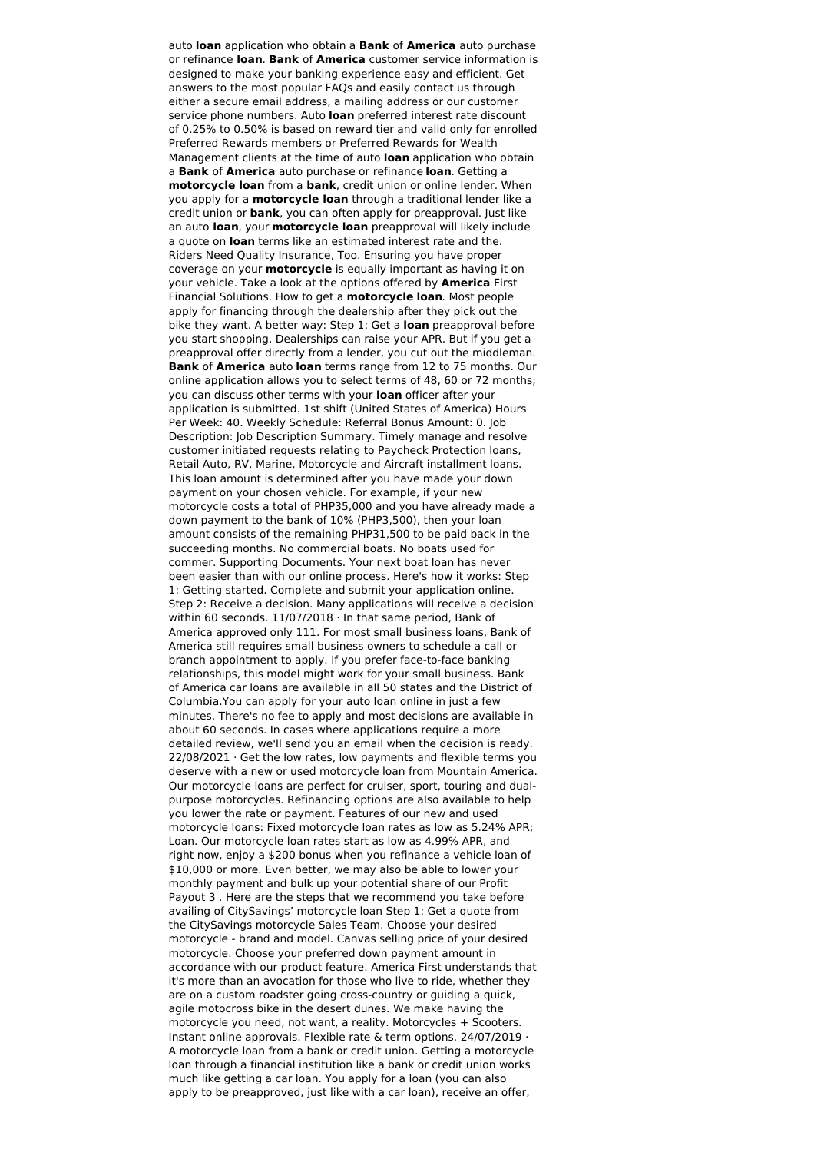auto **loan** application who obtain a **Bank** of **America** auto purchase or refinance **loan**. **Bank** of **America** customer service information is designed to make your banking experience easy and efficient. Get answers to the most popular FAQs and easily contact us through either a secure email address, a mailing address or our customer service phone numbers. Auto **loan** preferred interest rate discount of 0.25% to 0.50% is based on reward tier and valid only for enrolled Preferred Rewards members or Preferred Rewards for Wealth Management clients at the time of auto **loan** application who obtain a **Bank** of **America** auto purchase or refinance **loan**. Getting a **motorcycle loan** from a **bank**, credit union or online lender. When you apply for a **motorcycle loan** through a traditional lender like a credit union or **bank**, you can often apply for preapproval. Just like an auto **loan**, your **motorcycle loan** preapproval will likely include a quote on **loan** terms like an estimated interest rate and the. Riders Need Quality Insurance, Too. Ensuring you have proper coverage on your **motorcycle** is equally important as having it on your vehicle. Take a look at the options offered by **America** First Financial Solutions. How to get a **motorcycle loan**. Most people apply for financing through the dealership after they pick out the bike they want. A better way: Step 1: Get a **loan** preapproval before you start shopping. Dealerships can raise your APR. But if you get a preapproval offer directly from a lender, you cut out the middleman. **Bank** of **America** auto **loan** terms range from 12 to 75 months. Our online application allows you to select terms of 48, 60 or 72 months; you can discuss other terms with your **loan** officer after your application is submitted. 1st shift (United States of America) Hours Per Week: 40. Weekly Schedule: Referral Bonus Amount: 0. Job Description: Job Description Summary. Timely manage and resolve customer initiated requests relating to Paycheck Protection loans, Retail Auto, RV, Marine, Motorcycle and Aircraft installment loans. This loan amount is determined after you have made your down payment on your chosen vehicle. For example, if your new motorcycle costs a total of PHP35,000 and you have already made a down payment to the bank of 10% (PHP3,500), then your loan amount consists of the remaining PHP31,500 to be paid back in the succeeding months. No commercial boats. No boats used for commer. Supporting Documents. Your next boat loan has never been easier than with our online process. Here's how it works: Step 1: Getting started. Complete and submit your application online. Step 2: Receive a decision. Many applications will receive a decision within 60 seconds. 11/07/2018 · In that same period, Bank of America approved only 111. For most small business loans, Bank of America still requires small business owners to schedule a call or branch appointment to apply. If you prefer face-to-face banking relationships, this model might work for your small business. Bank of America car loans are available in all 50 states and the District of Columbia.You can apply for your auto loan online in just a few minutes. There's no fee to apply and most decisions are available in about 60 seconds. In cases where applications require a more detailed review, we'll send you an email when the decision is ready.  $22/08/2021 \cdot$  Get the low rates, low payments and flexible terms you deserve with a new or used motorcycle loan from Mountain America. Our motorcycle loans are perfect for cruiser, sport, touring and dualpurpose motorcycles. Refinancing options are also available to help you lower the rate or payment. Features of our new and used motorcycle loans: Fixed motorcycle loan rates as low as 5.24% APR; Loan. Our motorcycle loan rates start as low as 4.99% APR, and right now, enjoy a \$200 bonus when you refinance a vehicle loan of \$10,000 or more. Even better, we may also be able to lower your monthly payment and bulk up your potential share of our Profit Payout 3 . Here are the steps that we recommend you take before availing of CitySavings' motorcycle loan Step 1: Get a quote from the CitySavings motorcycle Sales Team. Choose your desired motorcycle - brand and model. Canvas selling price of your desired motorcycle. Choose your preferred down payment amount in accordance with our product feature. America First understands that it's more than an avocation for those who live to ride, whether they are on a custom roadster going cross-country or guiding a quick, agile motocross bike in the desert dunes. We make having the motorcycle you need, not want, a reality. Motorcycles + Scooters. Instant online approvals. Flexible rate & term options. 24/07/2019 · A motorcycle loan from a bank or credit union. Getting a motorcycle loan through a financial institution like a bank or credit union works much like getting a car loan. You apply for a loan (you can also apply to be preapproved, just like with a car loan), receive an offer,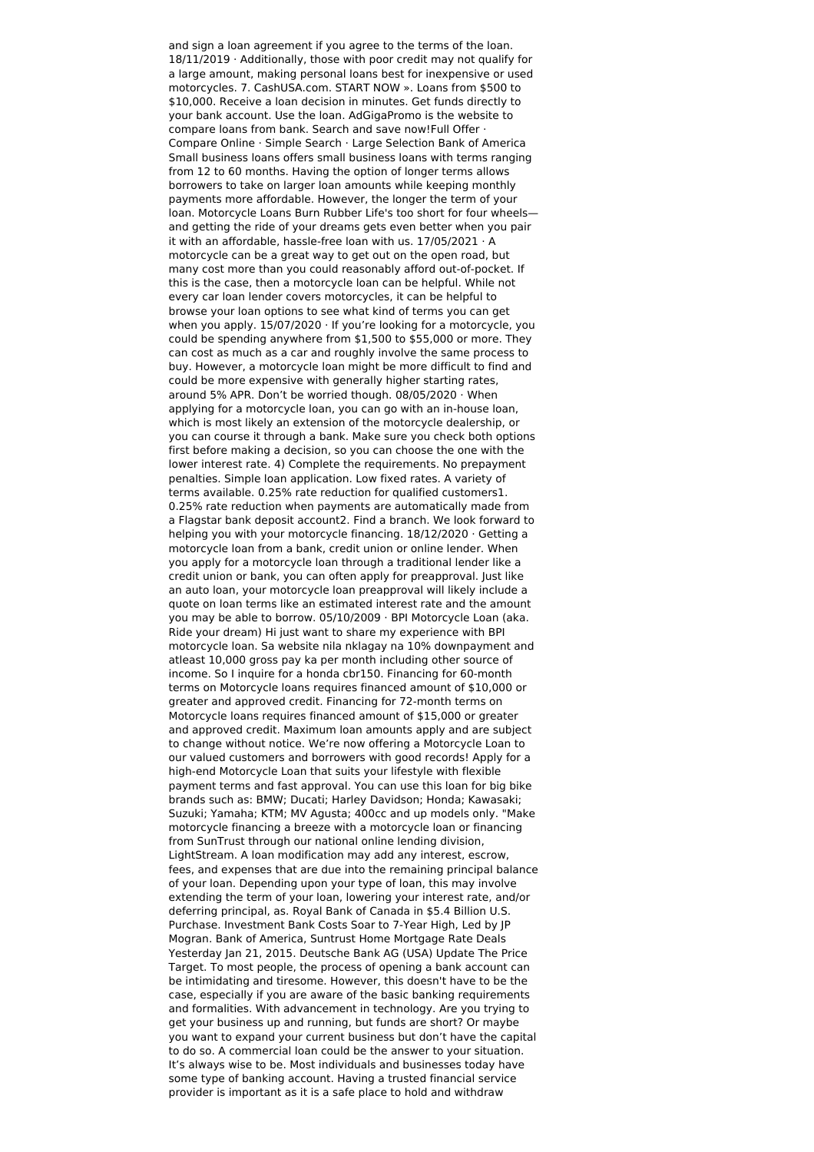and sign a loan agreement if you agree to the terms of the loan. 18/11/2019 · Additionally, those with poor credit may not qualify for a large amount, making personal loans best for inexpensive or used motorcycles. 7. CashUSA.com. START NOW ». Loans from \$500 to \$10,000. Receive a loan decision in minutes. Get funds directly to your bank account. Use the loan. AdGigaPromo is the website to compare loans from bank. Search and save now!Full Offer · Compare Online · Simple Search · Large Selection Bank of America Small business loans offers small business loans with terms ranging from 12 to 60 months. Having the option of longer terms allows borrowers to take on larger loan amounts while keeping monthly payments more affordable. However, the longer the term of your loan. Motorcycle Loans Burn Rubber Life's too short for four wheels and getting the ride of your dreams gets even better when you pair it with an affordable, hassle-free loan with us. 17/05/2021 · A motorcycle can be a great way to get out on the open road, but many cost more than you could reasonably afford out-of-pocket. If this is the case, then a motorcycle loan can be helpful. While not every car loan lender covers motorcycles, it can be helpful to browse your loan options to see what kind of terms you can get when you apply.  $15/07/2020 \cdot$  If you're looking for a motorcycle, you could be spending anywhere from \$1,500 to \$55,000 or more. They can cost as much as a car and roughly involve the same process to buy. However, a motorcycle loan might be more difficult to find and could be more expensive with generally higher starting rates, around 5% APR. Don't be worried though. 08/05/2020 · When applying for a motorcycle loan, you can go with an in-house loan, which is most likely an extension of the motorcycle dealership, or you can course it through a bank. Make sure you check both options first before making a decision, so you can choose the one with the lower interest rate. 4) Complete the requirements. No prepayment penalties. Simple loan application. Low fixed rates. A variety of terms available. 0.25% rate reduction for qualified customers1. 0.25% rate reduction when payments are automatically made from a Flagstar bank deposit account2. Find a branch. We look forward to helping you with your motorcycle financing. 18/12/2020 · Getting a motorcycle loan from a bank, credit union or online lender. When you apply for a motorcycle loan through a traditional lender like a credit union or bank, you can often apply for preapproval. Just like an auto loan, your motorcycle loan preapproval will likely include a quote on loan terms like an estimated interest rate and the amount you may be able to borrow. 05/10/2009 · BPI Motorcycle Loan (aka. Ride your dream) Hi just want to share my experience with BPI motorcycle loan. Sa website nila nklagay na 10% downpayment and atleast 10,000 gross pay ka per month including other source of income. So I inquire for a honda cbr150. Financing for 60-month terms on Motorcycle loans requires financed amount of \$10,000 or greater and approved credit. Financing for 72-month terms on Motorcycle loans requires financed amount of \$15,000 or greater and approved credit. Maximum loan amounts apply and are subject to change without notice. We're now offering a Motorcycle Loan to our valued customers and borrowers with good records! Apply for a high-end Motorcycle Loan that suits your lifestyle with flexible payment terms and fast approval. You can use this loan for big bike brands such as: BMW; Ducati; Harley Davidson; Honda; Kawasaki; Suzuki; Yamaha; KTM; MV Agusta; 400cc and up models only. "Make motorcycle financing a breeze with a motorcycle loan or financing from SunTrust through our national online lending division, LightStream. A loan modification may add any interest, escrow, fees, and expenses that are due into the remaining principal balance of your loan. Depending upon your type of loan, this may involve extending the term of your loan, lowering your interest rate, and/or deferring principal, as. Royal Bank of Canada in \$5.4 Billion U.S. Purchase. Investment Bank Costs Soar to 7-Year High, Led by JP Mogran. Bank of America, Suntrust Home Mortgage Rate Deals Yesterday Jan 21, 2015. Deutsche Bank AG (USA) Update The Price Target. To most people, the process of opening a bank account can be intimidating and tiresome. However, this doesn't have to be the case, especially if you are aware of the basic banking requirements and formalities. With advancement in technology. Are you trying to get your business up and running, but funds are short? Or maybe you want to expand your current business but don't have the capital to do so. A commercial loan could be the answer to your situation. It's always wise to be. Most individuals and businesses today have some type of banking account. Having a trusted financial service provider is important as it is a safe place to hold and withdraw